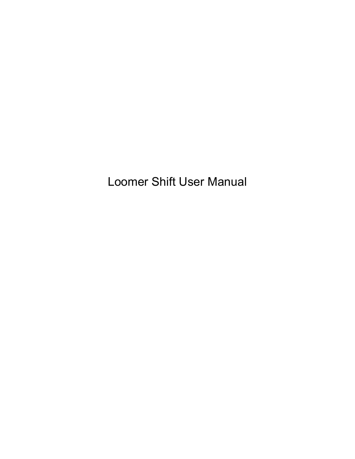Loomer Shift User Manual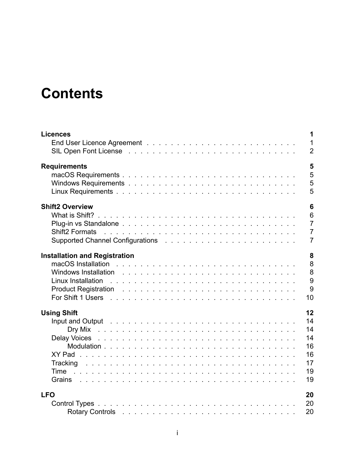## **Contents**

| <b>Licences</b>                                                                                                                                                                                                                                         | 1                                |
|---------------------------------------------------------------------------------------------------------------------------------------------------------------------------------------------------------------------------------------------------------|----------------------------------|
|                                                                                                                                                                                                                                                         | $\mathbf{1}$                     |
|                                                                                                                                                                                                                                                         | $\overline{2}$                   |
| <b>Requirements</b>                                                                                                                                                                                                                                     | 5                                |
|                                                                                                                                                                                                                                                         | 5                                |
|                                                                                                                                                                                                                                                         | 5                                |
|                                                                                                                                                                                                                                                         | 5                                |
| <b>Shift2 Overview</b>                                                                                                                                                                                                                                  | $6\phantom{1}6$                  |
|                                                                                                                                                                                                                                                         | $6\phantom{1}$                   |
| <b>Shift2 Formats</b><br>and the contract of the contract of the contract of the contract of the contract of the contract of the contract of the contract of the contract of the contract of the contract of the contract of the contract of the contra | $\overline{7}$<br>$\overline{7}$ |
|                                                                                                                                                                                                                                                         | $\overline{7}$                   |
| <b>Installation and Registration</b>                                                                                                                                                                                                                    | 8                                |
|                                                                                                                                                                                                                                                         | 8                                |
| macOS Installation                                                                                                                                                                                                                                      | 8                                |
| Linux Installation                                                                                                                                                                                                                                      | 9<br>9                           |
| Product Registration research and research and research and research and research and research and research and                                                                                                                                         | 10                               |
| <b>Using Shift</b>                                                                                                                                                                                                                                      | 12                               |
| Input and Output Indian Process and Process and Process and Process and Process and Process and Process and Pr                                                                                                                                          | 14                               |
|                                                                                                                                                                                                                                                         | 14                               |
|                                                                                                                                                                                                                                                         | 14                               |
|                                                                                                                                                                                                                                                         | 16                               |
|                                                                                                                                                                                                                                                         | 16                               |
| Tracking<br>Time                                                                                                                                                                                                                                        | 17<br>19                         |
| Grains and a contract of the contract of the contract of the contract of the contract of the contract of the contract of the contract of the contract of the contract of the contract of the contract of the contract of the c                          | 19                               |
| <b>LFO</b>                                                                                                                                                                                                                                              | 20                               |
|                                                                                                                                                                                                                                                         | 20                               |
| Rotary Controls research and the contract of the contract of the control of the contract of the control of the control of the control of the control of the control of the control of the control of the control of the contro                          | 20                               |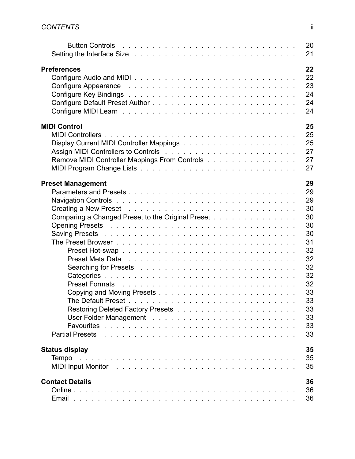| Button Controls (edge) and the control of the control of the control of the control of the control of the control of the control of the control of the control of the control of the control of the control of the control of  | 20<br>21 |
|--------------------------------------------------------------------------------------------------------------------------------------------------------------------------------------------------------------------------------|----------|
| <b>Preferences</b>                                                                                                                                                                                                             | 22       |
|                                                                                                                                                                                                                                | 22       |
| Configure Appearance research with the contract of the Configure Appearance research with the contract of the C                                                                                                                | 23       |
|                                                                                                                                                                                                                                | 24       |
|                                                                                                                                                                                                                                | 24       |
|                                                                                                                                                                                                                                | 24       |
|                                                                                                                                                                                                                                |          |
| <b>MIDI Control</b>                                                                                                                                                                                                            | 25       |
|                                                                                                                                                                                                                                | 25       |
|                                                                                                                                                                                                                                | 25       |
|                                                                                                                                                                                                                                | 27       |
| Remove MIDI Controller Mappings From Controls                                                                                                                                                                                  | 27       |
|                                                                                                                                                                                                                                | 27       |
| <b>Preset Management</b>                                                                                                                                                                                                       | 29       |
|                                                                                                                                                                                                                                | 29       |
|                                                                                                                                                                                                                                | 29       |
| Creating a New Preset results and contact the contact of the contact of the contact of the contact of the contact of the contact of the contact of the contact of the contact of the contact of the contact of the contact of  | 30       |
| Comparing a Changed Preset to the Original Preset                                                                                                                                                                              | 30       |
|                                                                                                                                                                                                                                | 30       |
|                                                                                                                                                                                                                                | 30       |
| Saving Presets research and the service of the service of the service of the service of the Saving Present and                                                                                                                 |          |
|                                                                                                                                                                                                                                | 31       |
|                                                                                                                                                                                                                                | 32       |
| Preset Meta Data research research and contact the contact of the Present and Contact the Contact of the Present                                                                                                               | 32       |
|                                                                                                                                                                                                                                | 32       |
|                                                                                                                                                                                                                                | 32       |
| Preset Formats Albert Albert Albert Albert Albert Albert Albert Albert Albert Albert Albert Albert Albert Albert                                                                                                               | 32       |
|                                                                                                                                                                                                                                | 33       |
|                                                                                                                                                                                                                                | 33       |
|                                                                                                                                                                                                                                | 33       |
|                                                                                                                                                                                                                                | 33       |
|                                                                                                                                                                                                                                | 33       |
| Partial Presets research and contact the contact of the contact of the contact of the contact of the contact of the contact of the contact of the contact of the contact of the contact of the contact of the contact of the c | 33       |
|                                                                                                                                                                                                                                | 35       |
| <b>Status display</b>                                                                                                                                                                                                          |          |
| Tempo                                                                                                                                                                                                                          | 35       |
|                                                                                                                                                                                                                                | 35       |
| <b>Contact Details</b>                                                                                                                                                                                                         | 36       |
|                                                                                                                                                                                                                                | 36       |
|                                                                                                                                                                                                                                | 36       |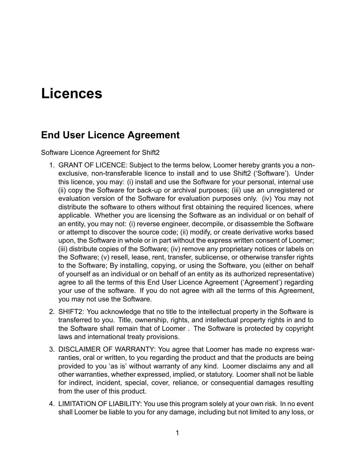## <span id="page-3-0"></span>**Licences**

#### <span id="page-3-1"></span>**End User Licence Agreement**

Software Licence Agreement for Shift2

- 1. GRANT OF LICENCE: Subject to the terms below, Loomer hereby grants you a nonexclusive, non-transferable licence to install and to use Shift2 ('Software'). Under this licence, you may: (i) install and use the Software for your personal, internal use (ii) copy the Software for back-up or archival purposes; (iii) use an unregistered or evaluation version of the Software for evaluation purposes only. (iv) You may not distribute the software to others without first obtaining the required licences, where applicable. Whether you are licensing the Software as an individual or on behalf of an entity, you may not: (i) reverse engineer, decompile, or disassemble the Software or attempt to discover the source code; (ii) modify, or create derivative works based upon, the Software in whole or in part without the express written consent of Loomer; (iii) distribute copies of the Software; (iv) remove any proprietary notices or labels on the Software; (v) resell, lease, rent, transfer, sublicense, or otherwise transfer rights to the Software; By installing, copying, or using the Software, you (either on behalf of yourself as an individual or on behalf of an entity as its authorized representative) agree to all the terms of this End User Licence Agreement ('Agreement') regarding your use of the software. If you do not agree with all the terms of this Agreement, you may not use the Software.
- 2. SHIFT2: You acknowledge that no title to the intellectual property in the Software is transferred to you. Title, ownership, rights, and intellectual property rights in and to the Software shall remain that of Loomer . The Software is protected by copyright laws and international treaty provisions.
- 3. DISCLAIMER OF WARRANTY: You agree that Loomer has made no express warranties, oral or written, to you regarding the product and that the products are being provided to you 'as is' without warranty of any kind. Loomer disclaims any and all other warranties, whether expressed, implied, or statutory. Loomer shall not be liable for indirect, incident, special, cover, reliance, or consequential damages resulting from the user of this product.
- 4. LIMITATION OF LIABILITY: You use this program solely at your own risk. In no event shall Loomer be liable to you for any damage, including but not limited to any loss, or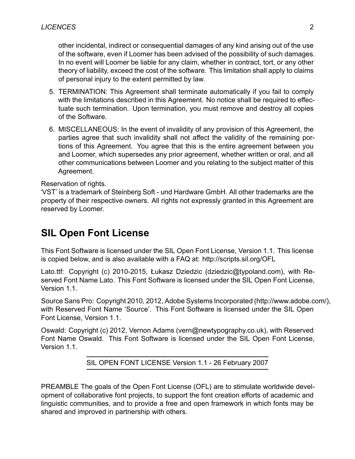other incidental, indirect or consequential damages of any kind arising out of the use of the software, even if Loomer has been advised of the possibility of such damages. In no event will Loomer be liable for any claim, whether in contract, tort, or any other theory of liability, exceed the cost of the software. This limitation shall apply to claims of personal injury to the extent permitted by law.

- 5. TERMINATION: This Agreement shall terminate automatically if you fail to comply with the limitations described in this Agreement. No notice shall be required to effectuate such termination. Upon termination, you must remove and destroy all copies of the Software.
- 6. MISCELLANEOUS: In the event of invalidity of any provision of this Agreement, the parties agree that such invalidity shall not affect the validity of the remaining portions of this Agreement. You agree that this is the entire agreement between you and Loomer, which supersedes any prior agreement, whether written or oral, and all other communications between Loomer and you relating to the subject matter of this Agreement.

Reservation of rights.

'VST' is a trademark of Steinberg Soft - und Hardware GmbH. All other trademarks are the property of their respective owners. All rights not expressly granted in this Agreement are reserved by Loomer.

#### <span id="page-4-0"></span>**SIL Open Font License**

This Font Software is licensed under the SIL Open Font License, Version 1.1. This license is copied below, and is also available with a FAQ at: http://scripts.sil.org/OFL

Lato.ttf: Copyright (c) 2010-2015, Łukasz Dziedzic (dziedzic@typoland.com), with Reserved Font Name Lato. This Font Software is licensed under the SIL Open Font License, Version 1.1.

Source Sans Pro: Copyright 2010, 2012, Adobe Systems Incorporated (http://www.adobe.com/), with Reserved Font Name 'Source'. This Font Software is licensed under the SIL Open Font License, Version 1.1.

Oswald: Copyright (c) 2012, Vernon Adams (vern@newtypography.co.uk), with Reserved Font Name Oswald. This Font Software is licensed under the SIL Open Font License, Version 1.1.

SIL OPEN FONT LICENSE Version 1.1 - 26 February 2007

PREAMBLE The goals of the Open Font License (OFL) are to stimulate worldwide development of collaborative font projects, to support the font creation efforts of academic and linguistic communities, and to provide a free and open framework in which fonts may be shared and improved in partnership with others.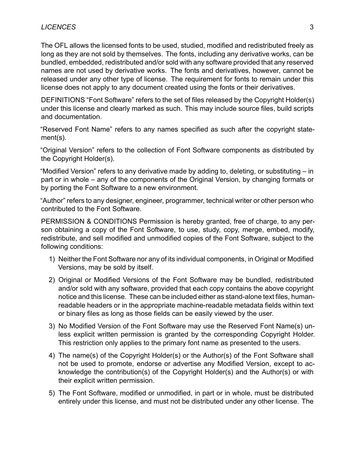The OFL allows the licensed fonts to be used, studied, modified and redistributed freely as long as they are not sold by themselves. The fonts, including any derivative works, can be bundled, embedded, redistributed and/or sold with any software provided that any reserved names are not used by derivative works. The fonts and derivatives, however, cannot be released under any other type of license. The requirement for fonts to remain under this license does not apply to any document created using the fonts or their derivatives.

DEFINITIONS "Font Software" refers to the set of files released by the Copyright Holder(s) under this license and clearly marked as such. This may include source files, build scripts and documentation.

"Reserved Font Name" refers to any names specified as such after the copyright statement(s).

"Original Version" refers to the collection of Font Software components as distributed by the Copyright Holder(s).

"Modified Version" refers to any derivative made by adding to, deleting, or substituting – in part or in whole – any of the components of the Original Version, by changing formats or by porting the Font Software to a new environment.

"Author" refers to any designer, engineer, programmer, technical writer or other person who contributed to the Font Software.

PERMISSION & CONDITIONS Permission is hereby granted, free of charge, to any person obtaining a copy of the Font Software, to use, study, copy, merge, embed, modify, redistribute, and sell modified and unmodified copies of the Font Software, subject to the following conditions:

- 1) Neither the Font Software nor any of its individual components, in Original or Modified Versions, may be sold by itself.
- 2) Original or Modified Versions of the Font Software may be bundled, redistributed and/or sold with any software, provided that each copy contains the above copyright notice and this license. These can be included either as stand-alone text files, humanreadable headers or in the appropriate machine-readable metadata fields within text or binary files as long as those fields can be easily viewed by the user.
- 3) No Modified Version of the Font Software may use the Reserved Font Name(s) unless explicit written permission is granted by the corresponding Copyright Holder. This restriction only applies to the primary font name as presented to the users.
- 4) The name(s) of the Copyright Holder(s) or the Author(s) of the Font Software shall not be used to promote, endorse or advertise any Modified Version, except to acknowledge the contribution(s) of the Copyright Holder(s) and the Author(s) or with their explicit written permission.
- 5) The Font Software, modified or unmodified, in part or in whole, must be distributed entirely under this license, and must not be distributed under any other license. The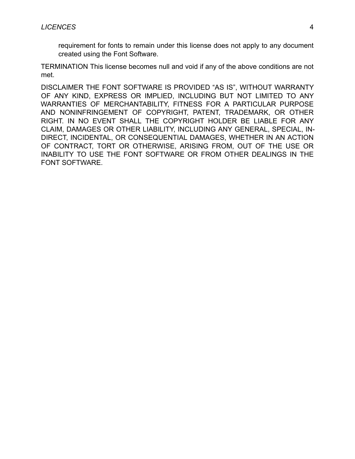requirement for fonts to remain under this license does not apply to any document created using the Font Software.

TERMINATION This license becomes null and void if any of the above conditions are not met.

DISCLAIMER THE FONT SOFTWARE IS PROVIDED "AS IS", WITHOUT WARRANTY OF ANY KIND, EXPRESS OR IMPLIED, INCLUDING BUT NOT LIMITED TO ANY WARRANTIES OF MERCHANTABILITY, FITNESS FOR A PARTICULAR PURPOSE AND NONINFRINGEMENT OF COPYRIGHT, PATENT, TRADEMARK, OR OTHER RIGHT. IN NO EVENT SHALL THE COPYRIGHT HOLDER BE LIABLE FOR ANY CLAIM, DAMAGES OR OTHER LIABILITY, INCLUDING ANY GENERAL, SPECIAL, IN-DIRECT, INCIDENTAL, OR CONSEQUENTIAL DAMAGES, WHETHER IN AN ACTION OF CONTRACT, TORT OR OTHERWISE, ARISING FROM, OUT OF THE USE OR INABILITY TO USE THE FONT SOFTWARE OR FROM OTHER DEALINGS IN THE FONT SOFTWARE.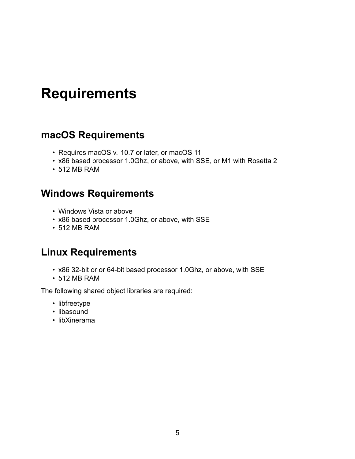## <span id="page-7-0"></span>**Requirements**

#### <span id="page-7-1"></span>**macOS Requirements**

- Requires macOS v. 10.7 or later, or macOS 11
- x86 based processor 1.0Ghz, or above, with SSE, or M1 with Rosetta 2
- 512 MB RAM

#### <span id="page-7-2"></span>**Windows Requirements**

- Windows Vista or above
- x86 based processor 1.0Ghz, or above, with SSE
- 512 MB RAM

#### <span id="page-7-3"></span>**Linux Requirements**

- x86 32-bit or or 64-bit based processor 1.0Ghz, or above, with SSE
- 512 MB RAM

The following shared object libraries are required:

- libfreetype
- libasound
- libXinerama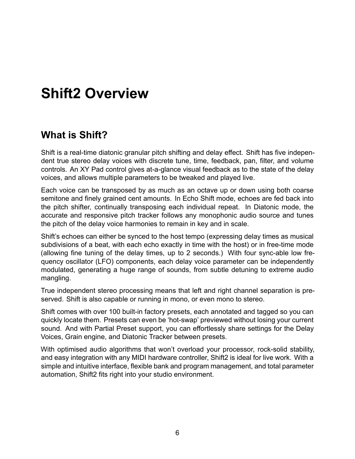## <span id="page-8-0"></span>**Shift2 Overview**

#### <span id="page-8-1"></span>**What is Shift?**

Shift is a real-time diatonic granular pitch shifting and delay effect. Shift has five independent true stereo delay voices with discrete tune, time, feedback, pan, filter, and volume controls. An XY Pad control gives at-a-glance visual feedback as to the state of the delay voices, and allows multiple parameters to be tweaked and played live.

Each voice can be transposed by as much as an octave up or down using both coarse semitone and finely grained cent amounts. In Echo Shift mode, echoes are fed back into the pitch shifter, continually transposing each individual repeat. In Diatonic mode, the accurate and responsive pitch tracker follows any monophonic audio source and tunes the pitch of the delay voice harmonies to remain in key and in scale.

Shift's echoes can either be synced to the host tempo (expressing delay times as musical subdivisions of a beat, with each echo exactly in time with the host) or in free-time mode (allowing fine tuning of the delay times, up to 2 seconds.) With four sync-able low frequency oscillator (LFO) components, each delay voice parameter can be independently modulated, generating a huge range of sounds, from subtle detuning to extreme audio mangling.

True independent stereo processing means that left and right channel separation is preserved. Shift is also capable or running in mono, or even mono to stereo.

Shift comes with over 100 built-in factory presets, each annotated and tagged so you can quickly locate them. Presets can even be 'hot-swap' previewed without losing your current sound. And with Partial Preset support, you can effortlessly share settings for the Delay Voices, Grain engine, and Diatonic Tracker between presets.

With optimised audio algorithms that won't overload your processor, rock-solid stability, and easy integration with any MIDI hardware controller, Shift2 is ideal for live work. With a simple and intuitive interface, flexible bank and program management, and total parameter automation, Shift2 fits right into your studio environment.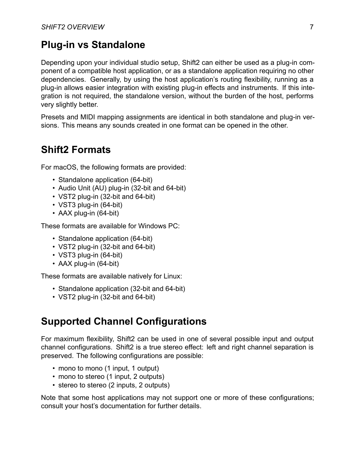#### <span id="page-9-0"></span>**Plug-in vs Standalone**

Depending upon your individual studio setup, Shift2 can either be used as a plug-in component of a compatible host application, or as a standalone application requiring no other dependencies. Generally, by using the host application's routing flexibility, running as a plug-in allows easier integration with existing plug-in effects and instruments. If this integration is not required, the standalone version, without the burden of the host, performs very slightly better.

Presets and MIDI mapping assignments are identical in both standalone and plug-in versions. This means any sounds created in one format can be opened in the other.

#### <span id="page-9-1"></span>**Shift2 Formats**

For macOS, the following formats are provided:

- Standalone application (64-bit)
- Audio Unit (AU) plug-in (32-bit and 64-bit)
- VST2 plug-in (32-bit and 64-bit)
- VST3 plug-in (64-bit)
- AAX plug-in (64-bit)

These formats are available for Windows PC:

- Standalone application (64-bit)
- VST2 plug-in (32-bit and 64-bit)
- VST3 plug-in (64-bit)
- AAX plug-in (64-bit)

These formats are available natively for Linux:

- Standalone application (32-bit and 64-bit)
- VST2 plug-in (32-bit and 64-bit)

#### <span id="page-9-2"></span>**Supported Channel Configurations**

For maximum flexibility, Shift2 can be used in one of several possible input and output channel configurations. Shift2 is a true stereo effect: left and right channel separation is preserved. The following configurations are possible:

- mono to mono (1 input, 1 output)
- mono to stereo (1 input, 2 outputs)
- stereo to stereo (2 inputs, 2 outputs)

Note that some host applications may not support one or more of these configurations; consult your host's documentation for further details.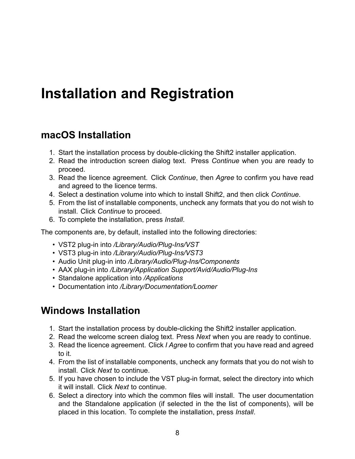## <span id="page-10-0"></span>**Installation and Registration**

#### <span id="page-10-1"></span>**macOS Installation**

- 1. Start the installation process by double-clicking the Shift2 installer application.
- 2. Read the introduction screen dialog text. Press *Continue* when you are ready to proceed.
- 3. Read the licence agreement. Click *Continue*, then *Agree* to confirm you have read and agreed to the licence terms.
- 4. Select a destination volume into which to install Shift2, and then click *Continue*.
- 5. From the list of installable components, uncheck any formats that you do not wish to install. Click *Continue* to proceed.
- 6. To complete the installation, press *Install*.

The components are, by default, installed into the following directories:

- VST2 plug-in into */Library/Audio/Plug-Ins/VST*
- VST3 plug-in into */Library/Audio/Plug-Ins/VST3*
- Audio Unit plug-in into */Library/Audio/Plug-Ins/Components*
- AAX plug-in into */Library/Application Support/Avid/Audio/Plug-Ins*
- Standalone application into */Applications*
- Documentation into */Library/Documentation/Loomer*

#### <span id="page-10-2"></span>**Windows Installation**

- 1. Start the installation process by double-clicking the Shift2 installer application.
- 2. Read the welcome screen dialog text. Press *Next* when you are ready to continue.
- 3. Read the licence agreement. Click *I Agree* to confirm that you have read and agreed to it.
- 4. From the list of installable components, uncheck any formats that you do not wish to install. Click *Next* to continue.
- 5. If you have chosen to include the VST plug-in format, select the directory into which it will install. Click *Next* to continue.
- 6. Select a directory into which the common files will install. The user documentation and the Standalone application (if selected in the the list of components), will be placed in this location. To complete the installation, press *Install*.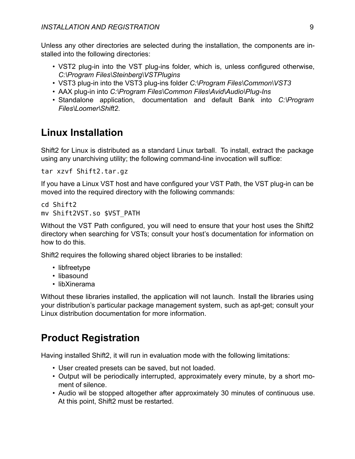Unless any other directories are selected during the installation, the components are installed into the following directories:

- VST2 plug-in into the VST plug-ins folder, which is, unless configured otherwise, *C:\Program Files\Steinberg\VSTPlugins*
- VST3 plug-in into the VST3 plug-ins folder *C:\Program Files\Common\VST3*
- AAX plug-in into *C:\Program Files\Common Files\Avid\Audio\Plug-Ins*
- Standalone application, documentation and default Bank into *C:\Program Files\Loomer\Shift2*.

#### <span id="page-11-0"></span>**Linux Installation**

Shift2 for Linux is distributed as a standard Linux tarball. To install, extract the package using any unarchiving utility; the following command-line invocation will suffice:

tar xzvf Shift2.tar.gz

If you have a Linux VST host and have configured your VST Path, the VST plug-in can be moved into the required directory with the following commands:

```
cd Shift2
mv Shift2VST.so $VST_PATH
```
Without the VST Path configured, you will need to ensure that your host uses the Shift2 directory when searching for VSTs; consult your host's documentation for information on how to do this.

Shift2 requires the following shared object libraries to be installed:

- libfreetype
- libasound
- libXinerama

Without these libraries installed, the application will not launch. Install the libraries using your distribution's particular package management system, such as apt-get; consult your Linux distribution documentation for more information.

#### <span id="page-11-1"></span>**Product Registration**

Having installed Shift2, it will run in evaluation mode with the following limitations:

- User created presets can be saved, but not loaded.
- Output will be periodically interrupted, approximately every minute, by a short moment of silence.
- Audio wil be stopped altogether after approximately 30 minutes of continuous use. At this point, Shift2 must be restarted.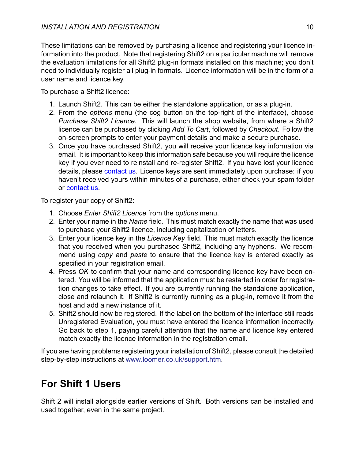These limitations can be removed by purchasing a licence and registering your licence information into the product. Note that registering Shift2 on a particular machine will remove the evaluation limitations for all Shift2 plug-in formats installed on this machine; you don't need to individually register all plug-in formats. Licence information will be in the form of a user name and licence key.

To purchase a Shift2 licence:

- 1. Launch Shift2. This can be either the standalone application, or as a plug-in.
- 2. From the *options* menu (the cog button on the top-right of the interface), choose *Purchase Shift2 Licence*. This will launch the shop website, from where a Shift2 licence can be purchased by clicking *Add To Cart*, followed by *Checkout*. Follow the on-screen prompts to enter your payment details and make a secure purchase.
- 3. Once you have purchased Shift2, you will receive your licence key information via email. It is important to keep this information safe because you will require the licence key if you ever need to reinstall and re-register Shift2. If you have lost your licence details, please [contact us](#page-37-3). Licence keys are sent immediately upon purchase: if you haven't received yours within minutes of a purchase, either check your spam folder or [contact us](#page-37-3).

To register your copy of Shift2:

- 1. Choose *Enter Shift2 Licence* from the *options* menu.
- 2. Enter your name in the *Name* field. This must match exactly the name that was used to purchase your Shift2 licence, including capitalization of letters.
- 3. Enter your licence key in the *Licence Key* field. This must match exactly the licence that you received when you purchased Shift2, including any hyphens. We recommend using *copy* and *paste* to ensure that the licence key is entered exactly as specified in your registration email.
- 4. Press *OK* to confirm that your name and corresponding licence key have been entered. You will be informed that the application must be restarted in order for registration changes to take effect. If you are currently running the standalone application, close and relaunch it. If Shift2 is currently running as a plug-in, remove it from the host and add a new instance of it.
- 5. Shift2 should now be registered. If the label on the bottom of the interface still reads Unregistered Evaluation, you must have entered the licence information incorrectly. Go back to step 1, paying careful attention that the name and licence key entered match exactly the licence information in the registration email.

If you are having problems registering your installation of Shift2, please consult the detailed step-by-step instructions at <www.loomer.co.uk/support.htm>.

## <span id="page-12-0"></span>**For Shift 1 Users**

Shift 2 will install alongside earlier versions of Shift. Both versions can be installed and used together, even in the same project.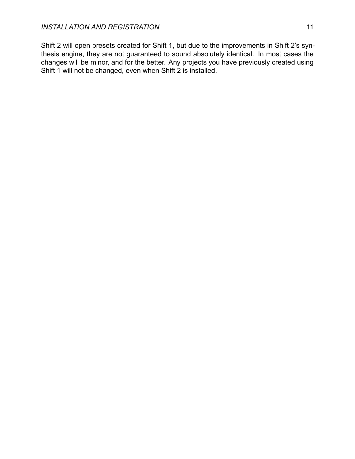Shift 2 will open presets created for Shift 1, but due to the improvements in Shift 2's synthesis engine, they are not guaranteed to sound absolutely identical. In most cases the changes will be minor, and for the better. Any projects you have previously created using Shift 1 will not be changed, even when Shift 2 is installed.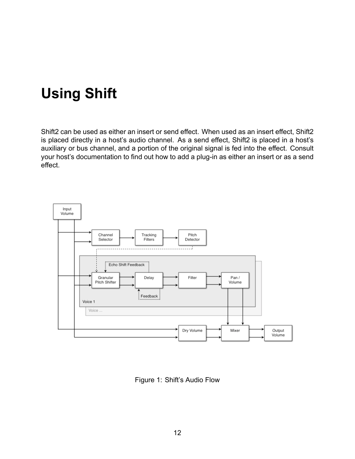## <span id="page-14-0"></span>**Using Shift**

Shift2 can be used as either an insert or send effect. When used as an insert effect, Shift2 is placed directly in a host's audio channel. As a send effect, Shift2 is placed in a host's auxiliary or bus channel, and a portion of the original signal is fed into the effect. Consult your host's documentation to find out how to add a plug-in as either an insert or as a send effect.



Figure 1: Shift's Audio Flow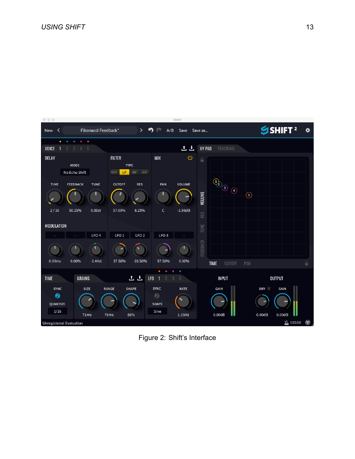

Figure 2: Shift's Interface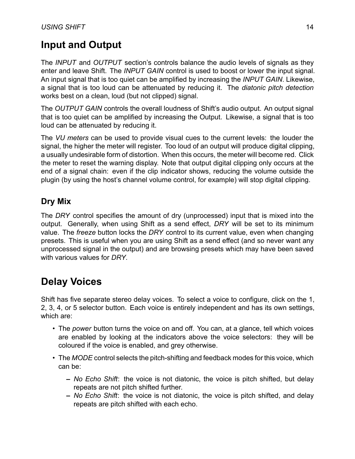### <span id="page-16-0"></span>**Input and Output**

The *INPUT* and *OUTPUT* section's controls balance the audio levels of signals as they enter and leave Shift. The *INPUT GAIN* control is used to boost or lower the input signal. An input signal that is too quiet can be amplified by increasing the *INPUT GAIN*. Likewise, a signal that is too loud can be attenuated by reducing it. The *diatonic pitch detection* works best on a clean, loud (but not clipped) signal.

The *OUTPUT GAIN* controls the overall loudness of Shift's audio output. An output signal that is too quiet can be amplified by increasing the Output. Likewise, a signal that is too loud can be attenuated by reducing it.

The *VU meters* can be used to provide visual cues to the current levels: the louder the signal, the higher the meter will register. Too loud of an output will produce digital clipping, a usually undesirable form of distortion. When this occurs, the meter will become red. Click the meter to reset the warning display. Note that output digital clipping only occurs at the end of a signal chain: even if the clip indicator shows, reducing the volume outside the plugin (by using the host's channel volume control, for example) will stop digital clipping.

#### <span id="page-16-1"></span>**Dry Mix**

The *DRY* control specifies the amount of dry (unprocessed) input that is mixed into the output. Generally, when using Shift as a send effect, *DRY* will be set to its minimum value. The *freeze* button locks the *DRY* control to its current value, even when changing presets. This is useful when you are using Shift as a send effect (and so never want any unprocessed signal in the output) and are browsing presets which may have been saved with various values for *DRY*.

### <span id="page-16-2"></span>**Delay Voices**

Shift has five separate stereo delay voices. To select a voice to configure, click on the 1, 2, 3, 4, or 5 selector button. Each voice is entirely independent and has its own settings, which are:

- The *power* button turns the voice on and off. You can, at a glance, tell which voices are enabled by looking at the indicators above the voice selectors: they will be coloured if the voice is enabled, and grey otherwise.
- The *MODE* control selects the pitch-shifting and feedback modes for this voice, which can be:
	- **–** *No Echo Shift*: the voice is not diatonic, the voice is pitch shifted, but delay repeats are not pitch shifted further.
	- **–** *No Echo Shift*: the voice is not diatonic, the voice is pitch shifted, and delay repeats are pitch shifted with each echo.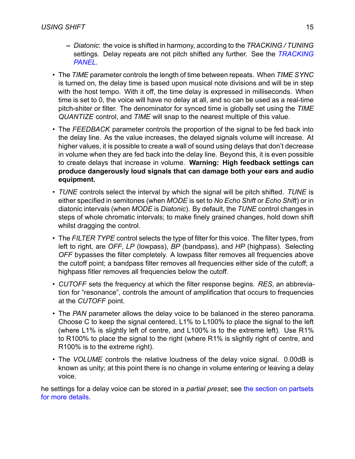- **–** *Diatonic*: the voice is shifted in harmony, according to the *TRACKING / TUNING* settings. Delay repeats are not pitch shifted any further. See the *[TRACKING](#page-18-2) [PANEL](#page-18-2)*.
- The *TIME* parameter controls the length of time between repeats. When *TIME SYNC* is turned on, the delay time is based upon musical note divisions and will be in step with the host tempo. With it off, the time delay is expressed in milliseconds. When time is set to 0, the voice will have no delay at all, and so can be used as a real-time pitch-shiter or filter. The denominator for synced time is globally set using the *TIME QUANTIZE* control, and *TIME* will snap to the nearest multiple of this value.
- The *FEEDBACK* parameter controls the proportion of the signal to be fed back into the delay line. As the value increases, the delayed signals volume will increase. At higher values, it is possible to create a wall of sound using delays that don't decrease in volume when they are fed back into the delay line. Beyond this, it is even possible to create delays that increase in volume. **Warning: High feedback settings can produce dangerously loud signals that can damage both your ears and audio equipment.**
- *TUNE* controls select the interval by which the signal will be pitch shifted. *TUNE* is either specified in semitones (when *MODE* is set to *No Echo Shift* or *Echo Shift*) or in diatonic intervals (when *MODE* is *Diatonic*). By default, the *TUNE* control changes in steps of whole chromatic intervals; to make finely grained changes, hold down shift whilst dragging the control.
- The *FILTER TYPE* control selects the type of filter for this voice. The filter types, from left to right, are *OFF*, *LP* (lowpass), *BP* (bandpass), and *HP* (highpass). Selecting *OFF* bypasses the filter completely. A lowpass filter removes all frequencies above the cutoff point; a bandpass filter removes all frequencies either side of the cutoff; a highpass fitler removes all frequencies below the cutoff.
- *CUTOFF* sets the frequency at which the filter response begins. *RES*, an abbreviation for "resonance", controls the amount of amplification that occurs to frequencies at the *CUTOFF* point.
- The *PAN* parameter allows the delay voice to be balanced in the stereo panorama. Choose C to keep the signal centered, L1% to L100% to place the signal to the left (where L1% is slightly left of centre, and L100% is to the extreme left). Use R1% to R100% to place the signal to the right (where R1% is slightly right of centre, and R100% is to the extreme right).
- The *VOLUME* controls the relative loudness of the delay voice signal. 0.00dB is known as unity; at this point there is no change in volume entering or leaving a delay voice.

<span id="page-17-0"></span>he settings for a delay voice can be stored in a *partial preset*; see [the section on partsets](#page-35-6) [for more details](#page-35-6).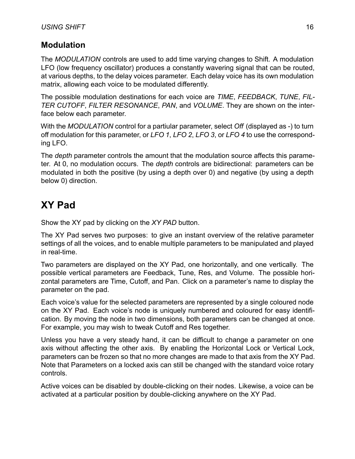#### <span id="page-18-0"></span>**Modulation**

The *MODULATION* controls are used to add time varying changes to Shift. A modulation LFO (low frequency oscillator) produces a constantly wavering signal that can be routed, at various depths, to the delay voices parameter. Each delay voice has its own modulation matrix, allowing each voice to be modulated differently.

The possible modulation destinations for each voice are *TIME*, *FEEDBACK*, *TUNE*, *FIL-TER CUTOFF*, *FILTER RESONANCE*, *PAN*, and *VOLUME*. They are shown on the interface below each parameter.

With the *MODULATION* control for a partiular parameter, select *Off* (displayed as -) to turn off modulation for this parameter, or *LFO 1*, *LFO 2*, *LFO 3*, or *LFO 4* to use the corresponding LFO.

The *depth* parameter controls the amount that the modulation source affects this parameter. At 0, no modulation occurs. The *depth* controls are bidirectional: parameters can be modulated in both the positive (by using a depth over 0) and negative (by using a depth below 0) direction.

### <span id="page-18-1"></span>**XY Pad**

Show the XY pad by clicking on the *XY PAD* button.

The XY Pad serves two purposes: to give an instant overview of the relative parameter settings of all the voices, and to enable multiple parameters to be manipulated and played in real-time.

Two parameters are displayed on the XY Pad, one horizontally, and one vertically. The possible vertical parameters are Feedback, Tune, Res, and Volume. The possible horizontal parameters are Time, Cutoff, and Pan. Click on a parameter's name to display the parameter on the pad.

Each voice's value for the selected parameters are represented by a single coloured node on the XY Pad. Each voice's node is uniquely numbered and coloured for easy identification. By moving the node in two dimensions, both parameters can be changed at once. For example, you may wish to tweak Cutoff and Res together.

Unless you have a very steady hand, it can be difficult to change a parameter on one axis without affecting the other axis. By enabling the Horizontal Lock or Vertical Lock, parameters can be frozen so that no more changes are made to that axis from the XY Pad. Note that Parameters on a locked axis can still be changed with the standard voice rotary controls.

<span id="page-18-2"></span>Active voices can be disabled by double-clicking on their nodes. Likewise, a voice can be activated at a particular position by double-clicking anywhere on the XY Pad.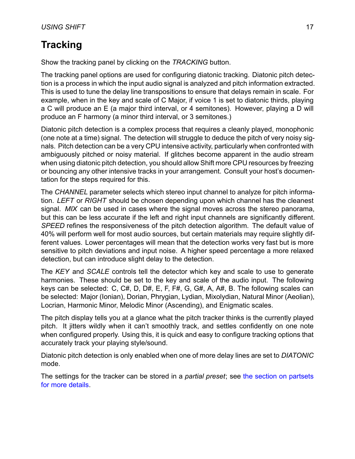## <span id="page-19-0"></span>**Tracking**

Show the tracking panel by clicking on the *TRACKING* button.

The tracking panel options are used for configuring diatonic tracking. Diatonic pitch detection is a process in which the input audio signal is analyzed and pitch information extracted. This is used to tune the delay line transpositions to ensure that delays remain in scale. For example, when in the key and scale of C Major, if voice 1 is set to diatonic thirds, playing a C will produce an E (a major third interval, or 4 semitones). However, playing a D will produce an F harmony (a minor third interval, or 3 semitones.)

Diatonic pitch detection is a complex process that requires a cleanly played, monophonic (one note at a time) signal. The detection will struggle to deduce the pitch of very noisy signals. Pitch detection can be a very CPU intensive activity, particularly when confronted with ambiguously pitched or noisy material. If glitches become apparent in the audio stream when using diatonic pitch detection, you should allow Shift more CPU resources by freezing or bouncing any other intensive tracks in your arrangement. Consult your host's documentation for the steps required for this.

The *CHANNEL* parameter selects which stereo input channel to analyze for pitch information. *LEFT* or *RIGHT* should be chosen depending upon which channel has the cleanest signal. *MIX* can be used in cases where the signal moves across the stereo panorama, but this can be less accurate if the left and right input channels are significantly different. *SPEED* refines the responsiveness of the pitch detection algorithm. The default value of 40% will perform well for most audio sources, but certain materials may require slightly different values. Lower percentages will mean that the detection works very fast but is more sensitive to pitch deviations and input noise. A higher speed percentage a more relaxed detection, but can introduce slight delay to the detection.

The *KEY* and *SCALE* controls tell the detector which key and scale to use to generate harmonies. These should be set to the key and scale of the audio input. The following keys can be selected: C, C#, D, D#, E, F, F#, G, G#, A, A#, B. The following scales can be selected: Major (Ionian), Dorian, Phrygian, Lydian, Mixolydian, Natural Minor (Aeolian), Locrian, Harmonic Minor, Melodic Minor (Ascending), and Enigmatic scales.

The pitch display tells you at a glance what the pitch tracker thinks is the currently played pitch. It jitters wildly when it can't smoothly track, and settles confidently on one note when configured properly. Using this, it is quick and easy to configure tracking options that accurately track your playing style/sound.

Diatonic pitch detection is only enabled when one of more delay lines are set to *DIATONIC* mode.

The settings for the tracker can be stored in a *partial preset*; see [the section on partsets](#page-35-6) [for more details](#page-35-6).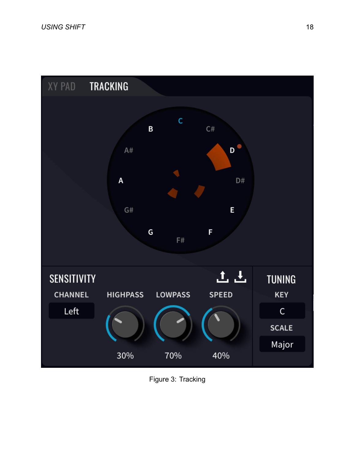

Figure 3: Tracking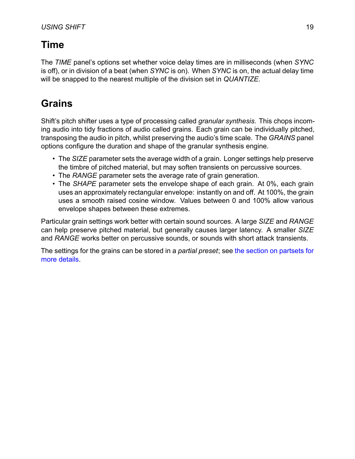## <span id="page-21-0"></span>**Time**

The *TIME* panel's options set whether voice delay times are in milliseconds (when *SYNC* is off), or in division of a beat (when *SYNC* is on). When *SYNC* is on, the actual delay time will be snapped to the nearest multiple of the division set in *QUANTIZE*.

## <span id="page-21-1"></span>**Grains**

Shift's pitch shifter uses a type of processing called *granular synthesis*. This chops incoming audio into tidy fractions of audio called grains. Each grain can be individually pitched, transposing the audio in pitch, whilst preserving the audio's time scale. The *GRAINS* panel options configure the duration and shape of the granular synthesis engine.

- The *SIZE* parameter sets the average width of a grain. Longer settings help preserve the timbre of pitched material, but may soften transients on percussive sources.
- The *RANGE* parameter sets the average rate of grain generation.
- The *SHAPE* parameter sets the envelope shape of each grain. At 0%, each grain uses an approximately rectangular envelope: instantly on and off. At 100%, the grain uses a smooth raised cosine window. Values between 0 and 100% allow various envelope shapes between these extremes.

Particular grain settings work better with certain sound sources. A large *SIZE* and *RANGE* can help preserve pitched material, but generally causes larger latency. A smaller *SIZE* and *RANGE* works better on percussive sounds, or sounds with short attack transients.

The settings for the grains can be stored in a *partial preset*; see [the section on partsets for](#page-35-6) [more details.](#page-35-6)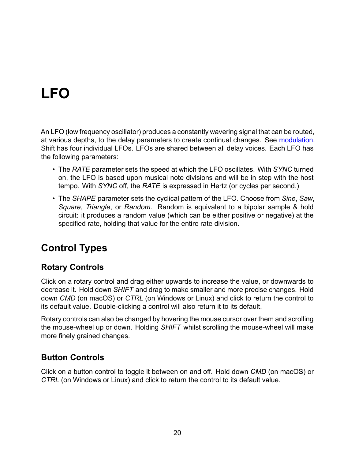# <span id="page-22-0"></span>**LFO**

An LFO (low frequency oscillator) produces a constantly wavering signal that can be routed, at various depths, to the delay parameters to create continual changes. See [modulation](#page-17-0). Shift has four individual LFOs. LFOs are shared between all delay voices. Each LFO has the following parameters:

- The *RATE* parameter sets the speed at which the LFO oscillates. With *SYNC* turned on, the LFO is based upon musical note divisions and will be in step with the host tempo. With *SYNC* off, the *RATE* is expressed in Hertz (or cycles per second.)
- The *SHAPE* parameter sets the cyclical pattern of the LFO. Choose from *Sine*, *Saw*, *Square*, *Triangle*, or *Random*. Random is equivalent to a bipolar sample & hold circuit: it produces a random value (which can be either positive or negative) at the specified rate, holding that value for the entire rate division.

## <span id="page-22-1"></span>**Control Types**

#### <span id="page-22-2"></span>**Rotary Controls**

Click on a rotary control and drag either upwards to increase the value, or downwards to decrease it. Hold down *SHIFT* and drag to make smaller and more precise changes. Hold down *CMD* (on macOS) or *CTRL* (on Windows or Linux) and click to return the control to its default value. Double-clicking a control will also return it to its default.

Rotary controls can also be changed by hovering the mouse cursor over them and scrolling the mouse-wheel up or down. Holding *SHIFT* whilst scrolling the mouse-wheel will make more finely grained changes.

#### <span id="page-22-3"></span>**Button Controls**

Click on a button control to toggle it between on and off. Hold down *CMD* (on macOS) or *CTRL* (on Windows or Linux) and click to return the control to its default value.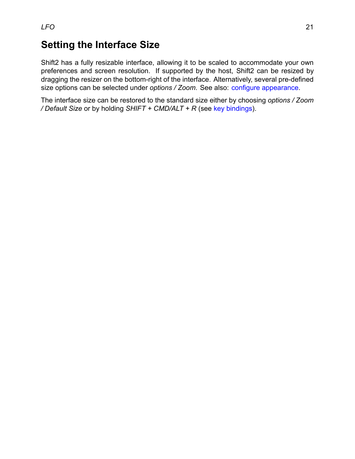#### <span id="page-23-0"></span>**Setting the Interface Size**

Shift2 has a fully resizable interface, allowing it to be scaled to accommodate your own preferences and screen resolution. If supported by the host, Shift2 can be resized by dragging the resizer on the bottom-right of the interface. Alternatively, several pre-defined size options can be selected under *options / Zoom*. See also: [configure appearance](#page-25-1).

The interface size can be restored to the standard size either by choosing *options / Zoom / Default Size* or by holding *SHIFT + CMD/ALT + R* (see [key bindings](#page-25-2)).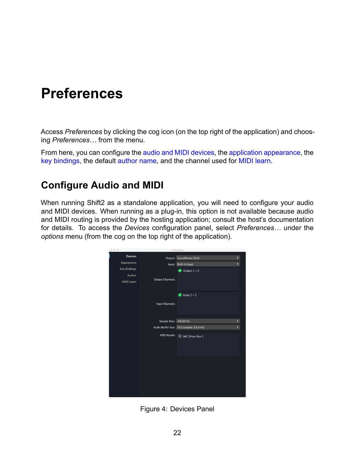## <span id="page-24-0"></span>**Preferences**

Access *Preferences* by clicking the cog icon (on the top right of the application) and choosing *Preferences…* from the menu.

From here, you can configure the [audio and MIDI devices,](#page-24-2) the [application appearance](#page-25-1), the [key bindings](#page-25-2), the default [author name](#page-26-3), and the channel used for [MIDI learn.](#page-26-4)

#### <span id="page-24-2"></span><span id="page-24-1"></span>**Configure Audio and MIDI**

When running Shift2 as a standalone application, you will need to configure your audio and MIDI devices. When running as a plug-in, this option is not available because audio and MIDI routing is provided by the hosting application; consult the host's documentation for details. To access the *Devices* configuration panel, select *Preferences…* under the *options* menu (from the cog on the top right of the application).



Figure 4: Devices Panel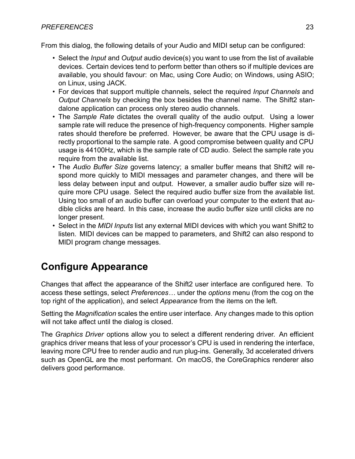#### *PREFERENCES* 23

From this dialog, the following details of your Audio and MIDI setup can be configured:

- Select the *Input* and *Output* audio device(s) you want to use from the list of available devices. Certain devices tend to perform better than others so if multiple devices are available, you should favour: on Mac, using Core Audio; on Windows, using ASIO; on Linux, using JACK.
- For devices that support multiple channels, select the required *Input Channels* and *Output Channels* by checking the box besides the channel name. The Shift2 standalone application can process only stereo audio channels.
- The *Sample Rate* dictates the overall quality of the audio output. Using a lower sample rate will reduce the presence of high-frequency components. Higher sample rates should therefore be preferred. However, be aware that the CPU usage is directly proportional to the sample rate. A good compromise between quality and CPU usage is 44100Hz, which is the sample rate of CD audio. Select the sample rate you require from the available list.
- The *Audio Buffer Size* governs latency; a smaller buffer means that Shift2 will respond more quickly to MIDI messages and parameter changes, and there will be less delay between input and output. However, a smaller audio buffer size will require more CPU usage. Select the required audio buffer size from the available list. Using too small of an audio buffer can overload your computer to the extent that audible clicks are heard. In this case, increase the audio buffer size until clicks are no longer present.
- Select in the *MIDI Inputs* list any external MIDI devices with which you want Shift2 to listen. MIDI devices can be mapped to parameters, and Shift2 can also respond to MIDI program change messages.

### <span id="page-25-1"></span><span id="page-25-0"></span>**Configure Appearance**

Changes that affect the appearance of the Shift2 user interface are configured here. To access these settings, select *Preferences…* under the *options* menu (from the cog on the top right of the application), and select *Appearance* from the items on the left.

Setting the *Magnification* scales the entire user interface. Any changes made to this option will not take affect until the dialog is closed.

<span id="page-25-2"></span>The *Graphics Driver* options allow you to select a different rendering driver. An efficient graphics driver means that less of your processor's CPU is used in rendering the interface, leaving more CPU free to render audio and run plug-ins. Generally, 3d accelerated drivers such as OpenGL are the most performant. On macOS, the CoreGraphics renderer also delivers good performance.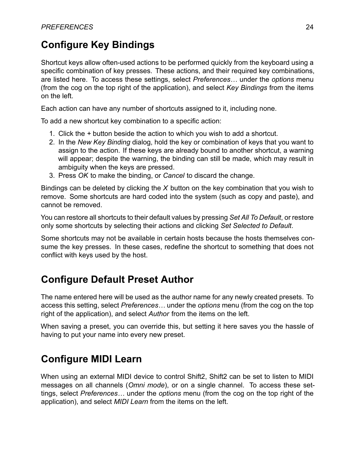## <span id="page-26-0"></span>**Configure Key Bindings**

Shortcut keys allow often-used actions to be performed quickly from the keyboard using a specific combination of key presses. These actions, and their required key combinations, are listed here. To access these settings, select *Preferences…* under the *options* menu (from the cog on the top right of the application), and select *Key Bindings* from the items on the left.

Each action can have any number of shortcuts assigned to it, including none.

To add a new shortcut key combination to a specific action:

- 1. Click the *+* button beside the action to which you wish to add a shortcut.
- 2. In the *New Key Binding* dialog, hold the key or combination of keys that you want to assign to the action. If these keys are already bound to another shortcut, a warning will appear; despite the warning, the binding can still be made, which may result in ambiguity when the keys are pressed.
- 3. Press *OK* to make the binding, or *Cancel* to discard the change.

Bindings can be deleted by clicking the *X* button on the key combination that you wish to remove. Some shortcuts are hard coded into the system (such as copy and paste), and cannot be removed.

You can restore all shortcuts to their default values by pressing *Set All To Default*, or restore only some shortcuts by selecting their actions and clicking *Set Selected to Default*.

Some shortcuts may not be available in certain hosts because the hosts themselves consume the key presses. In these cases, redefine the shortcut to something that does not conflict with keys used by the host.

### <span id="page-26-3"></span><span id="page-26-1"></span>**Configure Default Preset Author**

The name entered here will be used as the author name for any newly created presets. To access this setting, select *Preferences…* under the *options* menu (from the cog on the top right of the application), and select *Author* from the items on the left.

When saving a preset, you can override this, but setting it here saves you the hassle of having to put your name into every new preset.

#### <span id="page-26-4"></span><span id="page-26-2"></span>**Configure MIDI Learn**

When using an external MIDI device to control Shift2, Shift2 can be set to listen to MIDI messages on all channels (*Omni mode*), or on a single channel. To access these settings, select *Preferences…* under the *options* menu (from the cog on the top right of the application), and select *MIDI Learn* from the items on the left.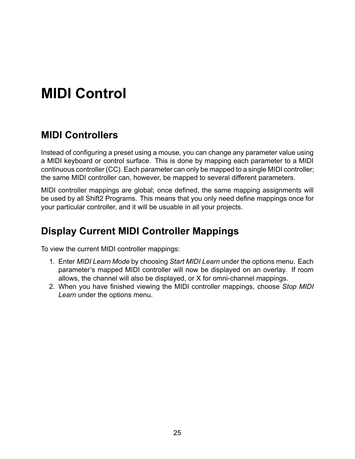## <span id="page-27-0"></span>**MIDI Control**

#### <span id="page-27-1"></span>**MIDI Controllers**

Instead of configuring a preset using a mouse, you can change any parameter value using a MIDI keyboard or control surface. This is done by mapping each parameter to a MIDI continuous controller (CC). Each parameter can only be mapped to a single MIDI controller; the same MIDI controller can, however, be mapped to several different parameters.

MIDI controller mappings are global; once defined, the same mapping assignments will be used by all Shift2 Programs. This means that you only need define mappings once for your particular controller, and it will be usuable in all your projects.

#### <span id="page-27-2"></span>**Display Current MIDI Controller Mappings**

To view the current MIDI controller mappings:

- 1. Enter *MIDI Learn Mode* by choosing *Start MIDI Learn* under the options menu. Each parameter's mapped MIDI controller will now be displayed on an overlay. If room allows, the channel will also be displayed, or X for omni-channel mappings.
- 2. When you have finished viewing the MIDI controller mappings, choose *Stop MIDI Learn* under the options menu.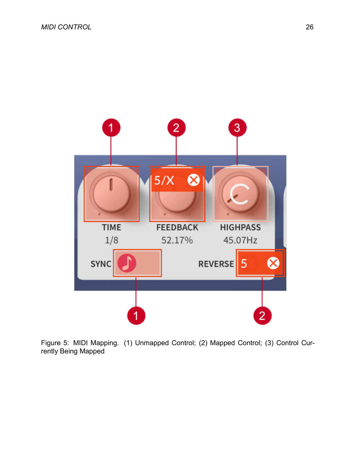

Figure 5: MIDI Mapping. (1) Unmapped Control; (2) Mapped Control; (3) Control Currently Being Mapped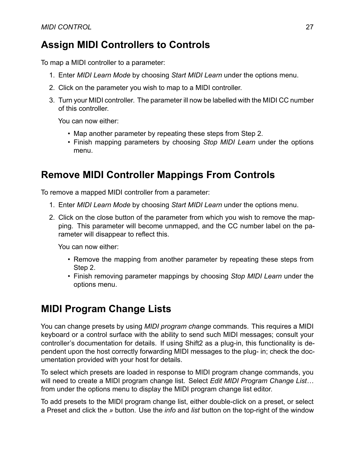#### <span id="page-29-0"></span>**Assign MIDI Controllers to Controls**

To map a MIDI controller to a parameter:

- 1. Enter *MIDI Learn Mode* by choosing *Start MIDI Learn* under the options menu.
- 2. Click on the parameter you wish to map to a MIDI controller.
- 3. Turn your MIDI controller. The parameter ill now be labelled with the MIDI CC number of this controller.

You can now either:

- Map another parameter by repeating these steps from Step 2.
- Finish mapping parameters by choosing *Stop MIDI Learn* under the options menu.

#### <span id="page-29-1"></span>**Remove MIDI Controller Mappings From Controls**

To remove a mapped MIDI controller from a parameter:

- 1. Enter *MIDI Learn Mode* by choosing *Start MIDI Learn* under the options menu.
- 2. Click on the close button of the parameter from which you wish to remove the mapping. This parameter will become unmapped, and the CC number label on the parameter will disappear to reflect this.

You can now either:

- Remove the mapping from another parameter by repeating these steps from Step 2.
- Finish removing parameter mappings by choosing *Stop MIDI Learn* under the options menu.

### <span id="page-29-2"></span>**MIDI Program Change Lists**

You can change presets by using *MIDI program change* commands. This requires a MIDI keyboard or a control surface with the ability to send such MIDI messages; consult your controller's documentation for details. If using Shift2 as a plug-in, this functionality is dependent upon the host correctly forwarding MIDI messages to the plug- in; check the documentation provided with your host for details.

To select which presets are loaded in response to MIDI program change commands, you will need to create a MIDI program change list. Select *Edit MIDI Program Change List…* from under the options menu to display the MIDI program change list editor.

To add presets to the MIDI program change list, either double-click on a preset, or select a Preset and click the *»* button. Use the *info* and *list* button on the top-right of the window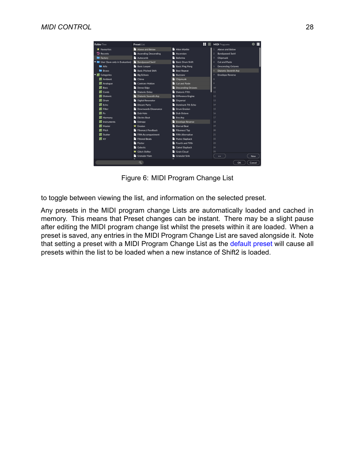| Folder Tree                               | <b>Preset List</b>          | н<br>≡                    | ⊫<br><b>MIDI</b> Programs<br>A            |
|-------------------------------------------|-----------------------------|---------------------------|-------------------------------------------|
| $\bigstar$ Favourites                     | Above and Below             | Alien Warble              | Above and Below                           |
| <sup>9</sup> Recents                      | Ascending Descending        | Ascension                 | <b>Bandpassed Swirl</b><br>$\overline{2}$ |
|                                           | Autocomb                    | <b>Ballerina</b>          | 3                                         |
| Factory<br>User (Save-only in Evaluation) | <b>Bandpassed Swirl</b>     | <b>Basic Drum Shift</b>   | Chipmunk<br><b>Cut and Paste</b>          |
|                                           |                             |                           |                                           |
| Alfa                                      | <b>Basic Looper</b>         | <b>Basic Ping Pong</b>    | <b>Descending Octaves</b><br>5            |
| <b>Bravo</b>                              | <b>Basic Pitched Shift</b>  | <b>Beat Repeat</b>        | Diatonic Seventh Arp<br>6.                |
| ▼ <b>■</b> Categories                     | Big Echoes                  | Buzzsaw                   | <b>Envelope Reverse</b>                   |
| 图 Ambient                                 | <b>Chime</b>                | Chipmunk                  | 8                                         |
| ٠.<br>Analogue                            | Contrary Motion             | Cut and Paste             | $\mathbf{Q}$                              |
| m.<br><b>Bass</b>                         | Dense Edge                  | <b>Descending Octaves</b> | 10                                        |
| ÷.<br>Comb                                | Diatonic Delay              | Diatonic Fifth            | 11                                        |
| Diatonic                                  | Diatonic Seventh Arp        | Difference Engine         | 12                                        |
| Ģ.<br>Drum                                | Digital Resonator           | Dispersal                 | 13                                        |
| u.<br>Echo                                | Distant Party               | Dominant 7th Echo         | 14                                        |
| ņ,<br>Filter                              | <b>Downwards Dissonance</b> | Drum Erosion              | 15                                        |
| $\blacksquare$ Ex                         | Dub Hats                    | Dub Octave                | 16                                        |
| 團<br>Harmony                              | <b>Electro Beat</b>         | <b>E</b> Eno Arp          | 17                                        |
| <b>Instruments</b><br>o,                  | <b>Entropy</b>              | <b>Envelope Reverse</b>   | 18                                        |
| Master<br>귀                               | $\bigstar$ Erosion          | <b>Eternal Beat</b>       | 19                                        |
| Pitch<br>ы.                               | Fibonacci Feedback          | <b>Fibonacci Tap</b>      | 20                                        |
| Stutter                                   | Fifth Accompaniment         | <b>Fifth Alternative</b>  | 21                                        |
| $\blacksquare$ xy                         | Filtered Beats              | <b>Flutey Slapback</b>    | 22                                        |
|                                           | Flutter                     | Fourth and Fifth          | 23                                        |
|                                           | Galactic                    | <b>Gated Slapback</b>     | 24                                        |
|                                           | Glitch Shifter              | <b>Grain Cloud</b>        | 25                                        |
|                                           | <b>Granular Flam</b>        | <b>Granular Sink</b>      | New<br>$\rightarrow$                      |
|                                           |                             |                           |                                           |
|                                           | $\mathbf{Q}$                |                           | <b>OK</b><br>Cancel                       |

Figure 6: MIDI Program Change List

to toggle between viewing the list, and information on the selected preset.

Any presets in the MIDI program change Lists are automatically loaded and cached in memory. This means that Preset changes can be instant. There may be a slight pause after editing the MIDI program change list whilst the presets within it are loaded. When a preset is saved, any entries in the MIDI Program Change List are saved alongside it. Note that setting a preset with a MIDI Program Change List as the default preset will cause all presets within the list to be loaded when a new instance of Shift2 is loaded.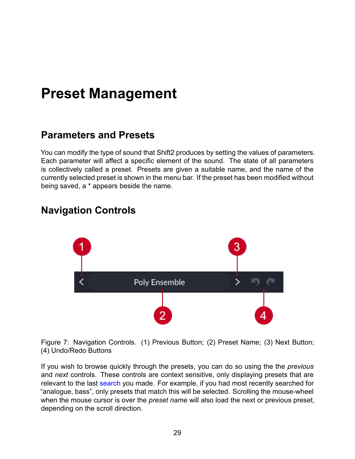## <span id="page-31-0"></span>**Preset Management**

#### <span id="page-31-1"></span>**Parameters and Presets**

You can modify the type of sound that Shift2 produces by setting the values of parameters. Each parameter will affect a specific element of the sound. The state of all parameters is collectively called a preset. Presets are given a suitable name, and the name of the currently selected preset is shown in the menu bar. If the preset has been modified without being saved, a \* appears beside the name.

#### <span id="page-31-2"></span>**Navigation Controls**



Figure 7: Navigation Controls. (1) Previous Button; (2) Preset Name; (3) Next Button; (4) Undo/Redo Buttons

If you wish to browse quickly through the presets, you can do so using the the *previous* and *next* controls. These controls are context sensitive, only displaying presets that are relevant to the last [search](#page-34-5) you made. For example, if you had most recently searched for "analogue, bass", only presets that match this will be selected. Scrolling the mouse-wheel when the mouse cursor is over the *preset name* will also load the next or previous preset, depending on the scroll direction.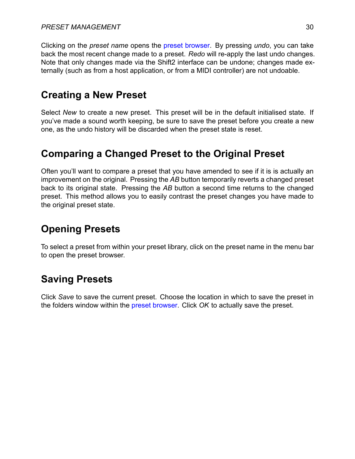Clicking on the *preset name* opens the [preset browser.](#page-32-4) By pressing *undo*, you can take back the most recent change made to a preset. *Redo* will re-apply the last undo changes. Note that only changes made via the Shift2 interface can be undone; changes made externally (such as from a host application, or from a MIDI controller) are not undoable.

#### <span id="page-32-0"></span>**Creating a New Preset**

Select *New* to create a new preset. This preset will be in the default initialised state. If you've made a sound worth keeping, be sure to save the preset before you create a new one, as the undo history will be discarded when the preset state is reset.

### <span id="page-32-1"></span>**Comparing a Changed Preset to the Original Preset**

Often you'll want to compare a preset that you have amended to see if it is is actually an improvement on the original. Pressing the *AB* button temporarily reverts a changed preset back to its original state. Pressing the *AB* button a second time returns to the changed preset. This method allows you to easily contrast the preset changes you have made to the original preset state.

### <span id="page-32-4"></span><span id="page-32-2"></span>**Opening Presets**

To select a preset from within your preset library, click on the preset name in the menu bar to open the preset browser.

### <span id="page-32-3"></span>**Saving Presets**

Click *Save* to save the current preset. Choose the location in which to save the preset in the folders window within the [preset browser](#page-33-1). Click *OK* to actually save the preset.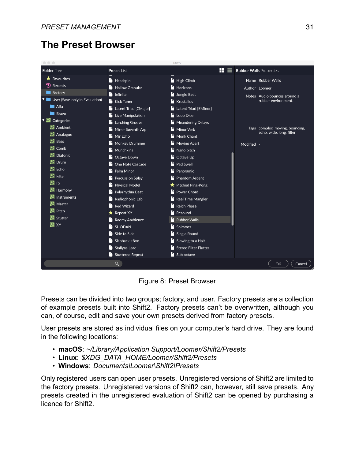#### <span id="page-33-1"></span><span id="page-33-0"></span>**The Preset Browser**

| $\circ$ $\circ$ $\circ$          |                               | Shift <sub>2</sub>           |                                     |
|----------------------------------|-------------------------------|------------------------------|-------------------------------------|
| <b>Folder</b> Tree               | Preset List                   | H                            | <b>Rubber Walls Properties</b><br>≡ |
| $\bigstar$ Favourites            | $\overrightarrow{ }$ Headspin | $\blacksquare$ High Climb    | Name Rubber Walls                   |
| <sup>9</sup> Recents             | <b>Hollow Granular</b>        | Horizons                     | Author Loomer                       |
| Factory                          | H<br>Infinite                 | Jungle Beat                  | Notes Audio bounces around a        |
| V User (Save-only in Evaluation) | <b>Kick Tuner</b>             | Krustallos                   | rubber environment.                 |
| <b>M</b> Alfa                    | Latent Triad [CMajor]         | Latent Triad [EMinor]        |                                     |
| $\blacksquare$ Bravo             | Live Manipulation             | Loop Dice                    |                                     |
| <b>El</b> Categories             | <b>Lurching Groove</b>        | <b>Meandering Delays</b>     |                                     |
| <b>En</b> Ambient                | Minor Seventh Arp             | Minor Verb                   | Tags complex, moving, bouncing,     |
| <b>E</b> Analogue                | Mir Echo                      | Monk Chant                   | echo, wide, long, filter            |
| H<br><b>Bass</b>                 | <b>Monkey Drummer</b>         | <b>Moving Apart</b>          | Modified -                          |
| Ļ٦,<br>Comb                      | Munchkins                     | Nano pitch                   |                                     |
| H<br><b>Diatonic</b>             | Octave Down                   | Octave Up                    |                                     |
| G<br>Drum                        | One Note Cascade              | Pad Swell                    |                                     |
| H<br>Echo                        | Palm Minor                    | Panoramic                    |                                     |
| Œ.<br>Filter                     | Percussion Splay              | <b>Phantom Ascent</b>        |                                     |
| ۸<br>Fx                          | <b>Physical Model</b>         | <b>★</b> Pitched Ping-Pong   |                                     |
| Fы<br>Harmony                    | Polyrhythm Beat               | Power Chord                  |                                     |
| 머<br>Instruments                 | Radiophonic Lab               | Real Time Mangler            |                                     |
| ᆊ<br>Master                      | <b>Red Wizard</b>             | <b>Reich Phase</b>           |                                     |
| H<br>Pitch                       | $\bigstar$ Repeat XY          | Resound                      |                                     |
| Stutter                          | Roomy Ambience                | <b>Rubber Walls</b>          |                                     |
| $\blacksquare$ XY                | $\mathbf{B}$ SHODAN           | Shimmer                      |                                     |
|                                  | Side to Side                  | Sing a Round                 |                                     |
|                                  | $\blacksquare$ Slapback +8ve  | Slowing to a Halt            |                                     |
|                                  | Stallyns Lead                 | <b>Stereo Filter Flutter</b> |                                     |
|                                  | Stuttered Repeat              | Sub octave                   |                                     |
|                                  | Q                             |                              | OK<br>Cancel                        |

Figure 8: Preset Browser

Presets can be divided into two groups; factory, and user. Factory presets are a collection of example presets built into Shift2. Factory presets can't be overwritten, although you can, of course, edit and save your own presets derived from factory presets.

User presets are stored as individual files on your computer's hard drive. They are found in the following locations:

- **macOS**: *~/Library/Application Support/Loomer/Shift2/Presets*
- **Linux**: *\$XDG\_DATA\_HOME/Loomer/Shift2/Presets*
- **Windows**: *Documents\Loomer\Shift2\Presets*

Only registered users can open user presets. Unregistered versions of Shift2 are limited to the factory presets. Unregistered versions of Shift2 can, however, still save presets. Any presets created in the unregistered evaluation of Shift2 can be opened by purchasing a licence for Shift2.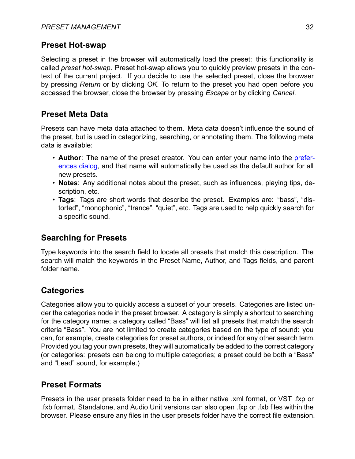#### <span id="page-34-0"></span>**Preset Hot-swap**

Selecting a preset in the browser will automatically load the preset: this functionality is called *preset hot-swap*. Preset hot-swap allows you to quickly preview presets in the context of the current project. If you decide to use the selected preset, close the browser by pressing *Return* or by clicking *OK*. To return to the preset you had open before you accessed the browser, close the browser by pressing *Escape* or by clicking *Cancel*.

#### <span id="page-34-1"></span>**Preset Meta Data**

Presets can have meta data attached to them. Meta data doesn't influence the sound of the preset, but is used in categorizing, searching, or annotating them. The following meta data is available:

- **Author**: The name of the preset creator. You can enter your name into the [prefer](#page-26-3)[ences dialog](#page-26-3), and that name will automatically be used as the default author for all new presets.
- **Notes**: Any additional notes about the preset, such as influences, playing tips, description, etc.
- **Tags**: Tags are short words that describe the preset. Examples are: "bass", "distorted", "monophonic", "trance", "quiet", etc. Tags are used to help quickly search for a specific sound.

#### <span id="page-34-5"></span><span id="page-34-2"></span>**Searching for Presets**

Type keywords into the search field to locate all presets that match this description. The search will match the keywords in the Preset Name, Author, and Tags fields, and parent folder name.

#### <span id="page-34-3"></span>**Categories**

Categories allow you to quickly access a subset of your presets. Categories are listed under the categories node in the preset browser. A category is simply a shortcut to searching for the category name; a category called "Bass" will list all presets that match the search criteria "Bass". You are not limited to create categories based on the type of sound: you can, for example, create categories for preset authors, or indeed for any other search term. Provided you tag your own presets, they will automatically be added to the correct category (or categories: presets can belong to multiple categories; a preset could be both a "Bass" and "Lead" sound, for example.)

#### <span id="page-34-4"></span>**Preset Formats**

Presets in the user presets folder need to be in either native .xml format, or VST .fxp or .fxb format. Standalone, and Audio Unit versions can also open .fxp or .fxb files within the browser. Please ensure any files in the user presets folder have the correct file extension.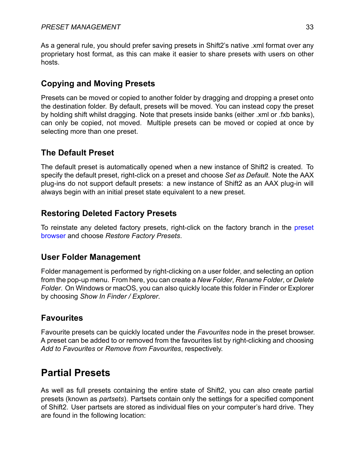As a general rule, you should prefer saving presets in Shift2's native .xml format over any proprietary host format, as this can make it easier to share presets with users on other hosts.

#### <span id="page-35-0"></span>**Copying and Moving Presets**

Presets can be moved or copied to another folder by dragging and dropping a preset onto the destination folder. By default, presets will be moved. You can instead copy the preset by holding shift whilst dragging. Note that presets inside banks (either .xml or .fxb banks), can only be copied, not moved. Multiple presets can be moved or copied at once by selecting more than one preset.

#### <span id="page-35-1"></span>**The Default Preset**

The default preset is automatically opened when a new instance of Shift2 is created. To specify the default preset, right-click on a preset and choose *Set as Default*. Note the AAX plug-ins do not support default presets: a new instance of Shift2 as an AAX plug-in will always begin with an initial preset state equivalent to a new preset.

#### <span id="page-35-2"></span>**Restoring Deleted Factory Presets**

To reinstate any deleted factory presets, right-click on the factory branch in the [preset](#page-32-4) [browser](#page-32-4) and choose *Restore Factory Presets*.

#### <span id="page-35-3"></span>**User Folder Management**

Folder management is performed by right-clicking on a user folder, and selecting an option from the pop-up menu. From here, you can create a *New Folder*, *Rename Folder*, or *Delete Folder*. On Windows or macOS, you can also quickly locate this folder in Finder or Explorer by choosing *Show In Finder / Explorer*.

#### <span id="page-35-4"></span>**Favourites**

Favourite presets can be quickly located under the *Favourites* node in the preset browser. A preset can be added to or removed from the favourites list by right-clicking and choosing *Add to Favourites* or *Remove from Favourites*, respectively.

#### <span id="page-35-6"></span><span id="page-35-5"></span>**Partial Presets**

As well as full presets containing the entire state of Shift2, you can also create partial presets (known as *partsets*). Partsets contain only the settings for a specified component of Shift2. User partsets are stored as individual files on your computer's hard drive. They are found in the following location: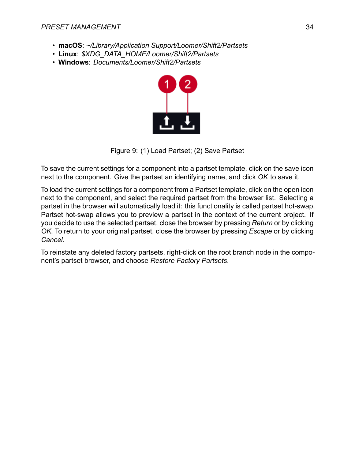- **macOS**: *~/Library/Application Support/Loomer/Shift2/Partsets*
- **Linux**: *\$XDG\_DATA\_HOME/Loomer/Shift2/Partsets*
- **Windows**: *Documents/Loomer/Shift2/Partsets*



Figure 9: (1) Load Partset; (2) Save Partset

To save the current settings for a component into a partset template, click on the save icon next to the component. Give the partset an identifying name, and click *OK* to save it.

To load the current settings for a component from a Partset template, click on the open icon next to the component, and select the required partset from the browser list. Selecting a partset in the browser will automatically load it: this functionality is called partset hot-swap. Partset hot-swap allows you to preview a partset in the context of the current project. If you decide to use the selected partset, close the browser by pressing *Return* or by clicking *OK*. To return to your original partset, close the browser by pressing *Escape* or by clicking *Cancel*.

To reinstate any deleted factory partsets, right-click on the root branch node in the component's partset browser, and choose *Restore Factory Partsets*.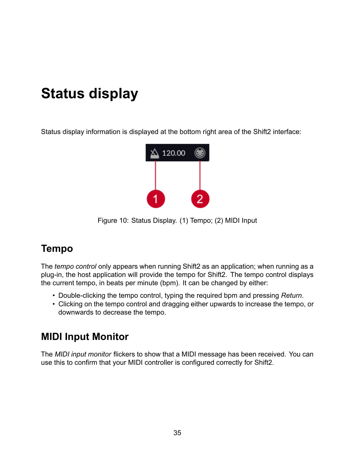# <span id="page-37-0"></span>**Status display**

Status display information is displayed at the bottom right area of the Shift2 interface:



Figure 10: Status Display. (1) Tempo; (2) MIDI Input

## <span id="page-37-1"></span>**Tempo**

The *tempo control* only appears when running Shift2 as an application; when running as a plug-in, the host application will provide the tempo for Shift2. The tempo control displays the current tempo, in beats per minute (bpm). It can be changed by either:

- Double-clicking the tempo control, typing the required bpm and pressing *Return*.
- Clicking on the tempo control and dragging either upwards to increase the tempo, or downwards to decrease the tempo.

### <span id="page-37-2"></span>**MIDI Input Monitor**

<span id="page-37-3"></span>The *MIDI input monitor* flickers to show that a MIDI message has been received. You can use this to confirm that your MIDI controller is configured correctly for Shift2.